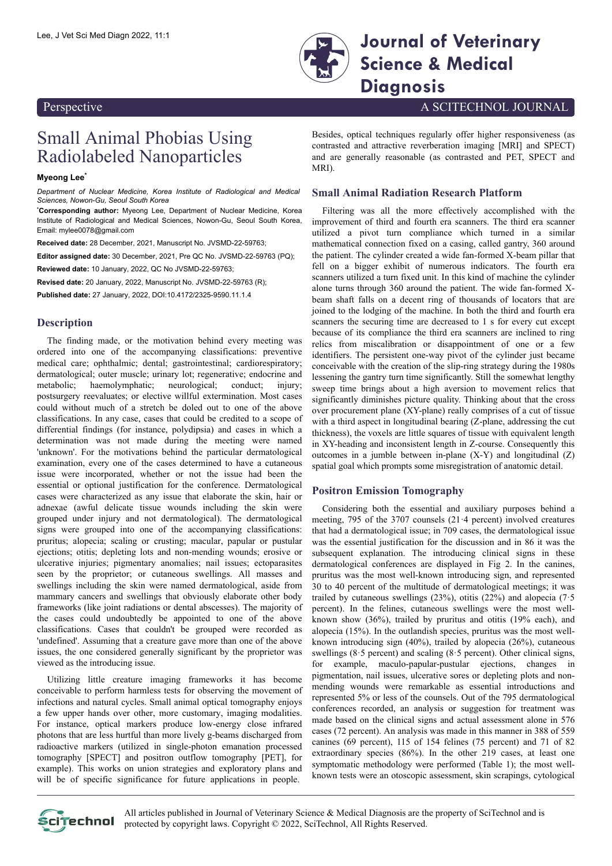

Lee, J Vet Sci Med Diagn 2022, 11:1 **Journal of Veterinary Science & Medical Diagnosis**

Perspective A SCITECHNOL JOURNAL

## Small Animal Phobias Using Radiolabeled Nanoparticles

**Myeong Lee\***

*Department of Nuclear Medicine, Korea Institute of Radiological and Medical Sciences, Nowon-Gu, Seoul South Korea*

**\*Corresponding author:** Myeong Lee, Department of Nuclear Medicine, Korea Institute of Radiological and Medical Sciences, Nowon-Gu, Seoul South Korea, Email: [mylee0078@gmail.com](mailto:mylee0078@gmail.com)

**Received date:** 28 December, 2021, Manuscript No. JVSMD-22-59763;

**Editor assigned date:** 30 December, 2021, Pre QC No. JVSMD-22-59763 (PQ); **Reviewed date:** 10 January, 2022, QC No JVSMD-22-59763;

**Revised date:** 20 January, 2022, Manuscript No. JVSMD-22-59763 (R);

**Published date:** 27 January, 2022, DOI:10.4172/2325-9590.11.1.4

## **Description**

The finding made, or the motivation behind every meeting was ordered into one of the accompanying classifications: preventive medical care; ophthalmic; dental; gastrointestinal; cardiorespiratory; dermatological; outer muscle; urinary lot; regenerative; endocrine and metabolic; haemolymphatic; neurological; conduct; injury; postsurgery reevaluates; or elective willful extermination. Most cases could without much of a stretch be doled out to one of the above classifications. In any case, cases that could be credited to a scope of differential findings (for instance, polydipsia) and cases in which a determination was not made during the meeting were named 'unknown'. For the motivations behind the particular dermatological examination, every one of the cases determined to have a cutaneous issue were incorporated, whether or not the issue had been the essential or optional justification for the conference. Dermatological cases were characterized as any issue that elaborate the skin, hair or adnexae (awful delicate tissue wounds including the skin were grouped under injury and not dermatological). The dermatological signs were grouped into one of the accompanying classifications: pruritus; alopecia; scaling or crusting; macular, papular or pustular ejections; otitis; depleting lots and non-mending wounds; erosive or ulcerative injuries; pigmentary anomalies; nail issues; ectoparasites seen by the proprietor; or cutaneous swellings. All masses and swellings including the skin were named dermatological, aside from mammary cancers and swellings that obviously elaborate other body frameworks (like joint radiations or dental abscesses). The majority of the cases could undoubtedly be appointed to one of the above classifications. Cases that couldn't be grouped were recorded as 'undefined'. Assuming that a creature gave more than one of the above issues, the one considered generally significant by the proprietor was viewed as the introducing issue.

Utilizing little creature imaging frameworks it has become conceivable to perform harmless tests for observing the movement of infections and natural cycles. Small animal optical tomography enjoys a few upper hands over other, more customary, imaging modalities. For instance, optical markers produce low-energy close infrared photons that are less hurtful than more lively g-beams discharged from radioactive markers (utilized in single-photon emanation processed tomography [SPECT] and positron outflow tomography [PET], for example). This works on union strategies and exploratory plans and will be of specific significance for future applications in people.

Besides, optical techniques regularly offer higher responsiveness (as contrasted and attractive reverberation imaging [MRI] and SPECT) and are generally reasonable (as contrasted and PET, SPECT and MRI).

## **Small Animal Radiation Research Platform**

Filtering was all the more effectively accomplished with the improvement of third and fourth era scanners. The third era scanner utilized a pivot turn compliance which turned in a similar mathematical connection fixed on a casing, called gantry, 360 around the patient. The cylinder created a wide fan-formed X-beam pillar that fell on a bigger exhibit of numerous indicators. The fourth era scanners utilized a turn fixed unit. In this kind of machine the cylinder alone turns through 360 around the patient. The wide fan-formed Xbeam shaft falls on a decent ring of thousands of locators that are joined to the lodging of the machine. In both the third and fourth era scanners the securing time are decreased to 1 s for every cut except because of its compliance the third era scanners are inclined to ring relics from miscalibration or disappointment of one or a few identifiers. The persistent one-way pivot of the cylinder just became conceivable with the creation of the slip-ring strategy during the 1980s lessening the gantry turn time significantly. Still the somewhat lengthy sweep time brings about a high aversion to movement relics that significantly diminishes picture quality. Thinking about that the cross over procurement plane (XY-plane) really comprises of a cut of tissue with a third aspect in longitudinal bearing (Z-plane, addressing the cut thickness), the voxels are little squares of tissue with equivalent length in XY-heading and inconsistent length in Z-course. Consequently this outcomes in a jumble between in-plane (X-Y) and longitudinal (Z) spatial goal which prompts some misregistration of anatomic detail.

## **Positron Emission Tomography**

Considering both the essential and auxiliary purposes behind a meeting, 795 of the 3707 counsels (21·4 percent) involved creatures that had a dermatological issue; in 709 cases, the dermatological issue was the essential justification for the discussion and in 86 it was the subsequent explanation. The introducing clinical signs in these dermatological conferences are displayed in Fig 2. In the canines, pruritus was the most well-known introducing sign, and represented 30 to 40 percent of the multitude of dermatological meetings; it was trailed by cutaneous swellings (23%), otitis (22%) and alopecia (7.5 percent). In the felines, cutaneous swellings were the most wellknown show (36%), trailed by pruritus and otitis (19% each), and alopecia (15%). In the outlandish species, pruritus was the most wellknown introducing sign (40%), trailed by alopecia (26%), cutaneous swellings ( $8.5$  percent) and scaling ( $8.5$  percent). Other clinical signs, for example, maculo-papular-pustular ejections, changes in pigmentation, nail issues, ulcerative sores or depleting plots and nonmending wounds were remarkable as essential introductions and represented 5% or less of the counsels. Out of the 795 dermatological conferences recorded, an analysis or suggestion for treatment was made based on the clinical signs and actual assessment alone in 576 cases (72 percent). An analysis was made in this manner in 388 of 559 canines (69 percent), 115 of 154 felines (75 percent) and 71 of 82 extraordinary species (86%). In the other 219 cases, at least one symptomatic methodology were performed (Table 1); the most wellknown tests were an otoscopic assessment, skin scrapings, cytological



All articles published in Journal of Veterinary Science & Medical Diagnosis are the property of SciTechnol and is protected by copyright laws. Copyright © 2022, SciTechnol, All Rights Reserved.